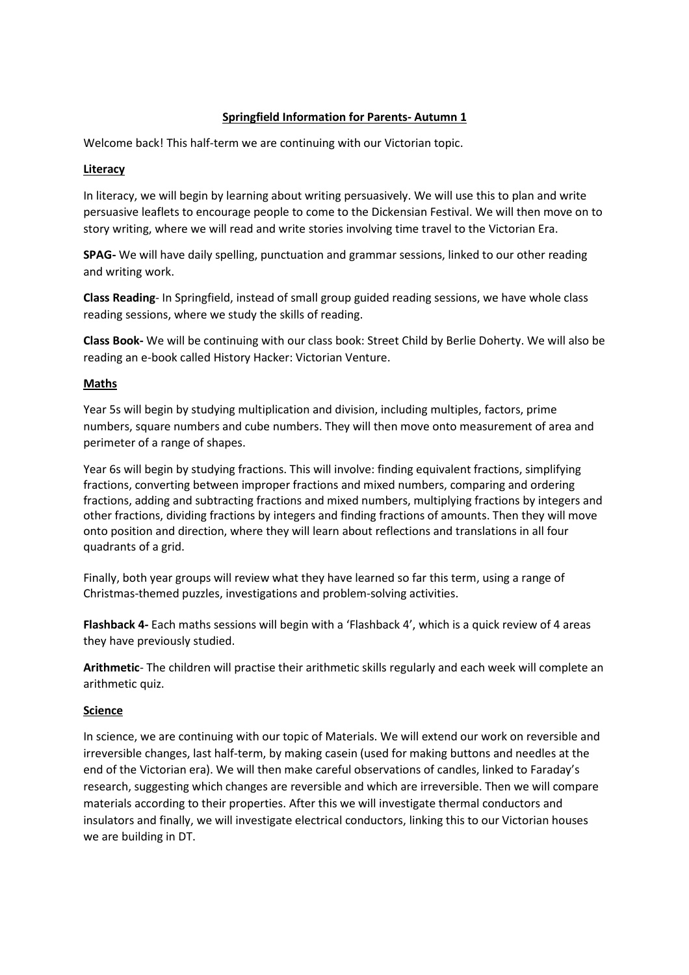### **Springfield Information for Parents- Autumn 1**

Welcome back! This half-term we are continuing with our Victorian topic.

#### **Literacy**

In literacy, we will begin by learning about writing persuasively. We will use this to plan and write persuasive leaflets to encourage people to come to the Dickensian Festival. We will then move on to story writing, where we will read and write stories involving time travel to the Victorian Era.

**SPAG-** We will have daily spelling, punctuation and grammar sessions, linked to our other reading and writing work.

**Class Reading**- In Springfield, instead of small group guided reading sessions, we have whole class reading sessions, where we study the skills of reading.

**Class Book-** We will be continuing with our class book: Street Child by Berlie Doherty. We will also be reading an e-book called History Hacker: Victorian Venture.

#### **Maths**

Year 5s will begin by studying multiplication and division, including multiples, factors, prime numbers, square numbers and cube numbers. They will then move onto measurement of area and perimeter of a range of shapes.

Year 6s will begin by studying fractions. This will involve: finding equivalent fractions, simplifying fractions, converting between improper fractions and mixed numbers, comparing and ordering fractions, adding and subtracting fractions and mixed numbers, multiplying fractions by integers and other fractions, dividing fractions by integers and finding fractions of amounts. Then they will move onto position and direction, where they will learn about reflections and translations in all four quadrants of a grid.

Finally, both year groups will review what they have learned so far this term, using a range of Christmas-themed puzzles, investigations and problem-solving activities.

**Flashback 4-** Each maths sessions will begin with a 'Flashback 4', which is a quick review of 4 areas they have previously studied.

**Arithmetic**- The children will practise their arithmetic skills regularly and each week will complete an arithmetic quiz.

#### **Science**

In science, we are continuing with our topic of Materials. We will extend our work on reversible and irreversible changes, last half-term, by making casein (used for making buttons and needles at the end of the Victorian era). We will then make careful observations of candles, linked to Faraday's research, suggesting which changes are reversible and which are irreversible. Then we will compare materials according to their properties. After this we will investigate thermal conductors and insulators and finally, we will investigate electrical conductors, linking this to our Victorian houses we are building in DT.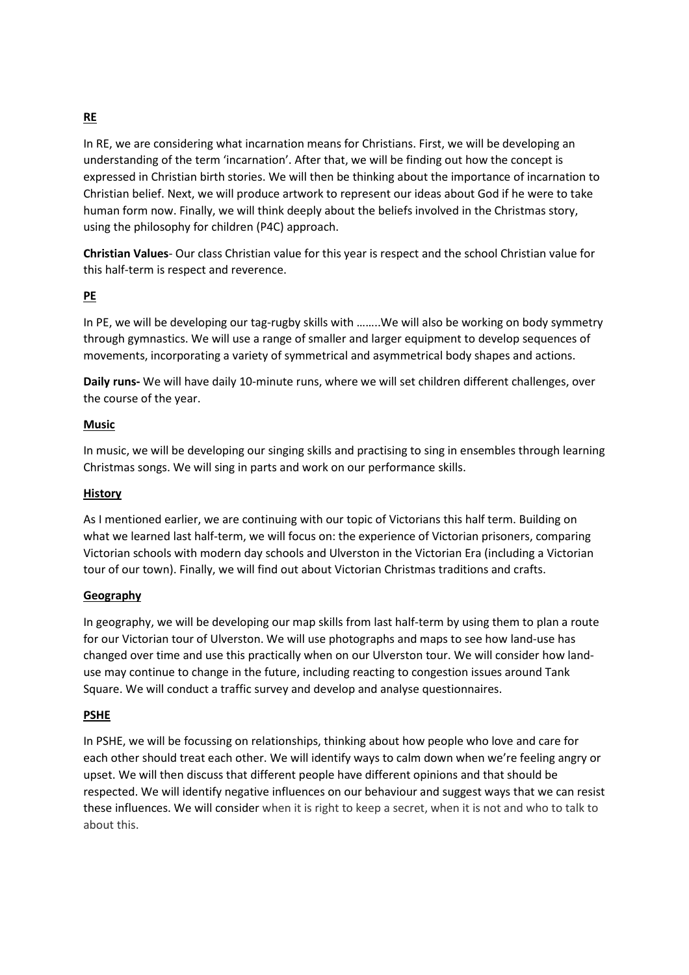# **RE**

In RE, we are considering what incarnation means for Christians. First, we will be developing an understanding of the term 'incarnation'. After that, we will be finding out how the concept is expressed in Christian birth stories. We will then be thinking about the importance of incarnation to Christian belief. Next, we will produce artwork to represent our ideas about God if he were to take human form now. Finally, we will think deeply about the beliefs involved in the Christmas story, using the philosophy for children (P4C) approach.

**Christian Values**- Our class Christian value for this year is respect and the school Christian value for this half-term is respect and reverence.

# **PE**

In PE, we will be developing our tag-rugby skills with ……..We will also be working on body symmetry through gymnastics. We will use a range of smaller and larger equipment to develop sequences of movements, incorporating a variety of symmetrical and asymmetrical body shapes and actions.

**Daily runs-** We will have daily 10-minute runs, where we will set children different challenges, over the course of the year.

## **Music**

In music, we will be developing our singing skills and practising to sing in ensembles through learning Christmas songs. We will sing in parts and work on our performance skills.

## **History**

As I mentioned earlier, we are continuing with our topic of Victorians this half term. Building on what we learned last half-term, we will focus on: the experience of Victorian prisoners, comparing Victorian schools with modern day schools and Ulverston in the Victorian Era (including a Victorian tour of our town). Finally, we will find out about Victorian Christmas traditions and crafts.

## **Geography**

In geography, we will be developing our map skills from last half-term by using them to plan a route for our Victorian tour of Ulverston. We will use photographs and maps to see how land-use has changed over time and use this practically when on our Ulverston tour. We will consider how landuse may continue to change in the future, including reacting to congestion issues around Tank Square. We will conduct a traffic survey and develop and analyse questionnaires.

## **PSHE**

In PSHE, we will be focussing on relationships, thinking about how people who love and care for each other should treat each other. We will identify ways to calm down when we're feeling angry or upset. We will then discuss that different people have different opinions and that should be respected. We will identify negative influences on our behaviour and suggest ways that we can resist these influences. We will consider when it is right to keep a secret, when it is not and who to talk to about this.